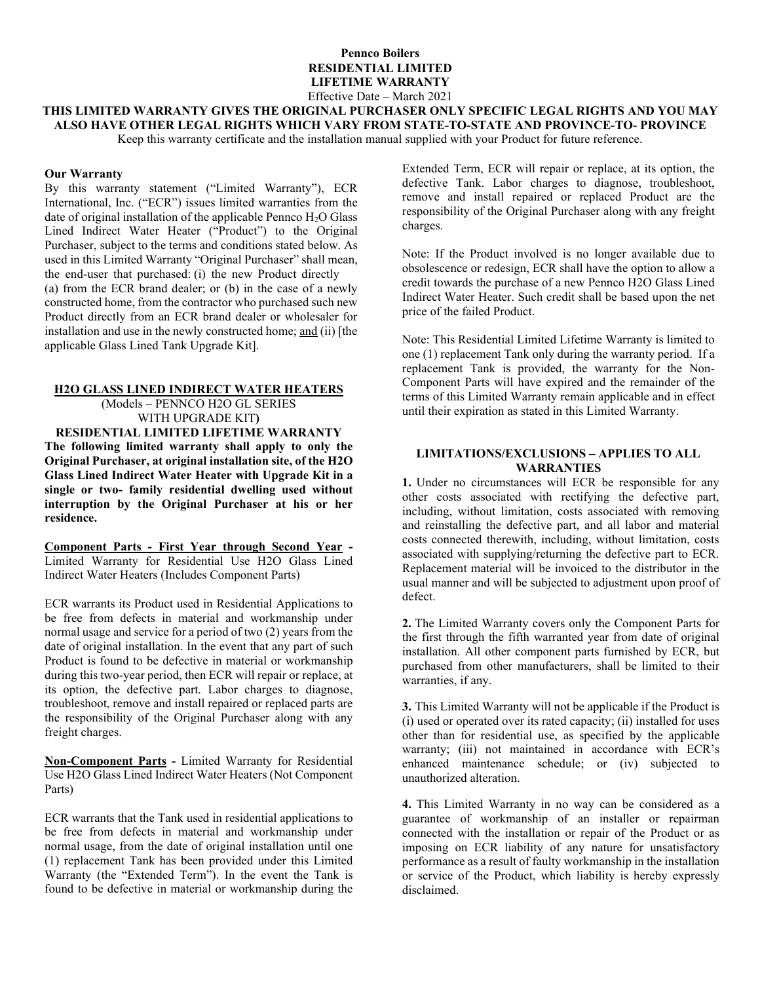## **Pennco Boilers RESIDENTIAL LIMITED LIFETIME WARRANTY** Effective Date – March 2021

**THIS LIMITED WARRANTY GIVES THE ORIGINAL PURCHASER ONLY SPECIFIC LEGAL RIGHTS AND YOU MAY ALSO HAVE OTHER LEGAL RIGHTS WHICH VARY FROM STATE-TO-STATE AND PROVINCE-TO- PROVINCE**

Keep this warranty certificate and the installation manual supplied with your Product for future reference.

### **Our Warranty**

By this warranty statement ("Limited Warranty"), ECR International, Inc. ("ECR") issues limited warranties from the date of original installation of the applicable Pennco  $H_2O$  Glass Lined Indirect Water Heater ("Product") to the Original Purchaser, subject to the terms and conditions stated below. As used in this Limited Warranty "Original Purchaser" shall mean, the end-user that purchased: (i) the new Product directly (a) from the ECR brand dealer; or (b) in the case of a newly constructed home, from the contractor who purchased such new Product directly from an ECR brand dealer or wholesaler for installation and use in the newly constructed home; and (ii) [the applicable Glass Lined Tank Upgrade Kit].

# **H2O GLASS LINED INDIRECT WATER HEATERS**

(Models – PENNCO H2O GL SERIES WITH UPGRADE KIT**)**

**RESIDENTIAL LIMITED LIFETIME WARRANTY The following limited warranty shall apply to only the Original Purchaser, at original installation site, of the H2O Glass Lined Indirect Water Heater with Upgrade Kit in a single or two- family residential dwelling used without interruption by the Original Purchaser at his or her residence.**

**Component Parts - First Year through Second Year -** Limited Warranty for Residential Use H2O Glass Lined Indirect Water Heaters (Includes Component Parts)

ECR warrants its Product used in Residential Applications to be free from defects in material and workmanship under normal usage and service for a period of two (2) years from the date of original installation. In the event that any part of such Product is found to be defective in material or workmanship during this two-year period, then ECR will repair or replace, at its option, the defective part. Labor charges to diagnose, troubleshoot, remove and install repaired or replaced parts are the responsibility of the Original Purchaser along with any freight charges.

**Non-Component Parts -** Limited Warranty for Residential Use H2O Glass Lined Indirect Water Heaters (Not Component Parts)

ECR warrants that the Tank used in residential applications to be free from defects in material and workmanship under normal usage, from the date of original installation until one (1) replacement Tank has been provided under this Limited Warranty (the "Extended Term"). In the event the Tank is found to be defective in material or workmanship during the

Extended Term, ECR will repair or replace, at its option, the defective Tank. Labor charges to diagnose, troubleshoot, remove and install repaired or replaced Product are the responsibility of the Original Purchaser along with any freight charges.

Note: If the Product involved is no longer available due to obsolescence or redesign, ECR shall have the option to allow a credit towards the purchase of a new Pennco H2O Glass Lined Indirect Water Heater. Such credit shall be based upon the net price of the failed Product.

Note: This Residential Limited Lifetime Warranty is limited to one (1) replacement Tank only during the warranty period. If a replacement Tank is provided, the warranty for the Non-Component Parts will have expired and the remainder of the terms of this Limited Warranty remain applicable and in effect until their expiration as stated in this Limited Warranty.

## **LIMITATIONS/EXCLUSIONS – APPLIES TO ALL WARRANTIES**

**1.** Under no circumstances will ECR be responsible for any other costs associated with rectifying the defective part, including, without limitation, costs associated with removing and reinstalling the defective part, and all labor and material costs connected therewith, including, without limitation, costs associated with supplying/returning the defective part to ECR. Replacement material will be invoiced to the distributor in the usual manner and will be subjected to adjustment upon proof of defect.

**2.** The Limited Warranty covers only the Component Parts for the first through the fifth warranted year from date of original installation. All other component parts furnished by ECR, but purchased from other manufacturers, shall be limited to their warranties, if any.

**3.** This Limited Warranty will not be applicable if the Product is (i) used or operated over its rated capacity; (ii) installed for uses other than for residential use, as specified by the applicable warranty; (iii) not maintained in accordance with ECR's enhanced maintenance schedule; or (iv) subjected to unauthorized alteration.

**4.** This Limited Warranty in no way can be considered as a guarantee of workmanship of an installer or repairman connected with the installation or repair of the Product or as imposing on ECR liability of any nature for unsatisfactory performance as a result of faulty workmanship in the installation or service of the Product, which liability is hereby expressly disclaimed.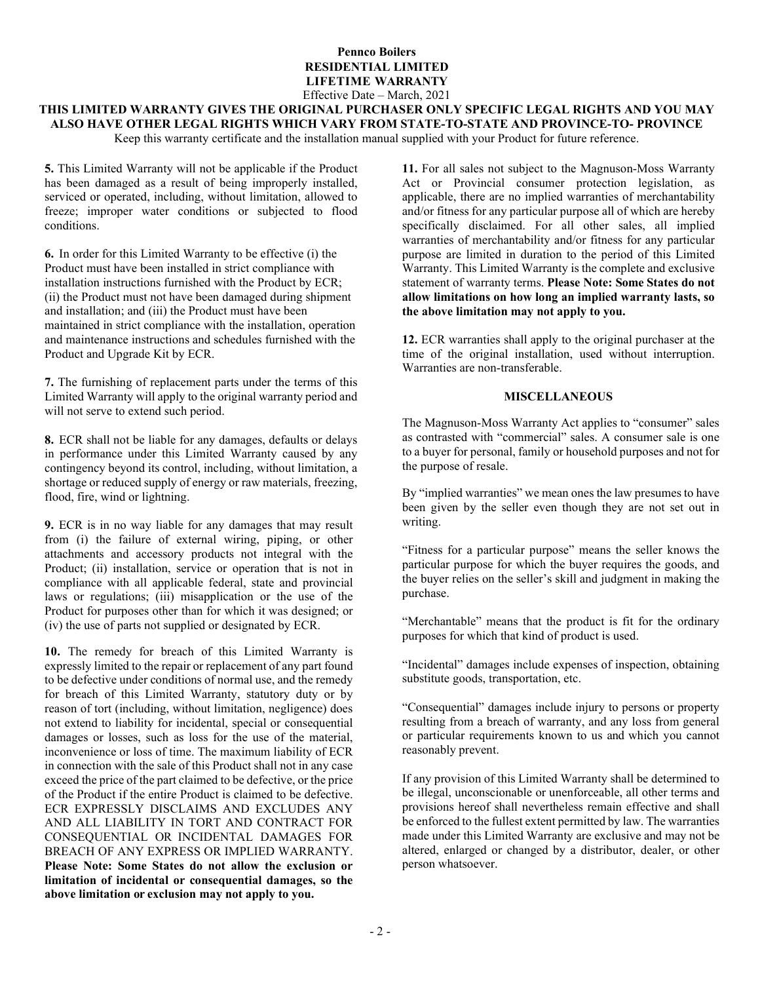# **Pennco Boilers RESIDENTIAL LIMITED LIFETIME WARRANTY** Effective Date – March, 2021

# **THIS LIMITED WARRANTY GIVES THE ORIGINAL PURCHASER ONLY SPECIFIC LEGAL RIGHTS AND YOU MAY ALSO HAVE OTHER LEGAL RIGHTS WHICH VARY FROM STATE-TO-STATE AND PROVINCE-TO- PROVINCE**

Keep this warranty certificate and the installation manual supplied with your Product for future reference.

**5.** This Limited Warranty will not be applicable if the Product has been damaged as a result of being improperly installed, serviced or operated, including, without limitation, allowed to freeze; improper water conditions or subjected to flood conditions.

**6.** In order for this Limited Warranty to be effective (i) the Product must have been installed in strict compliance with installation instructions furnished with the Product by ECR; (ii) the Product must not have been damaged during shipment and installation; and (iii) the Product must have been maintained in strict compliance with the installation, operation and maintenance instructions and schedules furnished with the Product and Upgrade Kit by ECR.

**7.** The furnishing of replacement parts under the terms of this Limited Warranty will apply to the original warranty period and will not serve to extend such period.

**8.** ECR shall not be liable for any damages, defaults or delays in performance under this Limited Warranty caused by any contingency beyond its control, including, without limitation, a shortage or reduced supply of energy or raw materials, freezing, flood, fire, wind or lightning.

**9.** ECR is in no way liable for any damages that may result from (i) the failure of external wiring, piping, or other attachments and accessory products not integral with the Product; (ii) installation, service or operation that is not in compliance with all applicable federal, state and provincial laws or regulations; (iii) misapplication or the use of the Product for purposes other than for which it was designed; or (iv) the use of parts not supplied or designated by ECR.

**10.** The remedy for breach of this Limited Warranty is expressly limited to the repair or replacement of any part found to be defective under conditions of normal use, and the remedy for breach of this Limited Warranty, statutory duty or by reason of tort (including, without limitation, negligence) does not extend to liability for incidental, special or consequential damages or losses, such as loss for the use of the material, inconvenience or loss of time. The maximum liability of ECR in connection with the sale of this Product shall not in any case exceed the price of the part claimed to be defective, or the price of the Product if the entire Product is claimed to be defective. ECR EXPRESSLY DISCLAIMS AND EXCLUDES ANY AND ALL LIABILITY IN TORT AND CONTRACT FOR CONSEQUENTIAL OR INCIDENTAL DAMAGES FOR BREACH OF ANY EXPRESS OR IMPLIED WARRANTY. **Please Note: Some States do not allow the exclusion or limitation of incidental or consequential damages, so the above limitation or exclusion may not apply to you.**

**11.** For all sales not subject to the Magnuson-Moss Warranty Act or Provincial consumer protection legislation, as applicable, there are no implied warranties of merchantability and/or fitness for any particular purpose all of which are hereby specifically disclaimed. For all other sales, all implied warranties of merchantability and/or fitness for any particular purpose are limited in duration to the period of this Limited Warranty. This Limited Warranty is the complete and exclusive statement of warranty terms. **Please Note: Some States do not allow limitations on how long an implied warranty lasts, so the above limitation may not apply to you.**

**12.** ECR warranties shall apply to the original purchaser at the time of the original installation, used without interruption. Warranties are non-transferable.

### **MISCELLANEOUS**

The Magnuson-Moss Warranty Act applies to "consumer" sales as contrasted with "commercial" sales. A consumer sale is one to a buyer for personal, family or household purposes and not for the purpose of resale.

By "implied warranties" we mean ones the law presumes to have been given by the seller even though they are not set out in writing.

"Fitness for a particular purpose" means the seller knows the particular purpose for which the buyer requires the goods, and the buyer relies on the seller's skill and judgment in making the purchase.

"Merchantable" means that the product is fit for the ordinary purposes for which that kind of product is used.

"Incidental" damages include expenses of inspection, obtaining substitute goods, transportation, etc.

"Consequential" damages include injury to persons or property resulting from a breach of warranty, and any loss from general or particular requirements known to us and which you cannot reasonably prevent.

If any provision of this Limited Warranty shall be determined to be illegal, unconscionable or unenforceable, all other terms and provisions hereof shall nevertheless remain effective and shall be enforced to the fullest extent permitted by law. The warranties made under this Limited Warranty are exclusive and may not be altered, enlarged or changed by a distributor, dealer, or other person whatsoever.